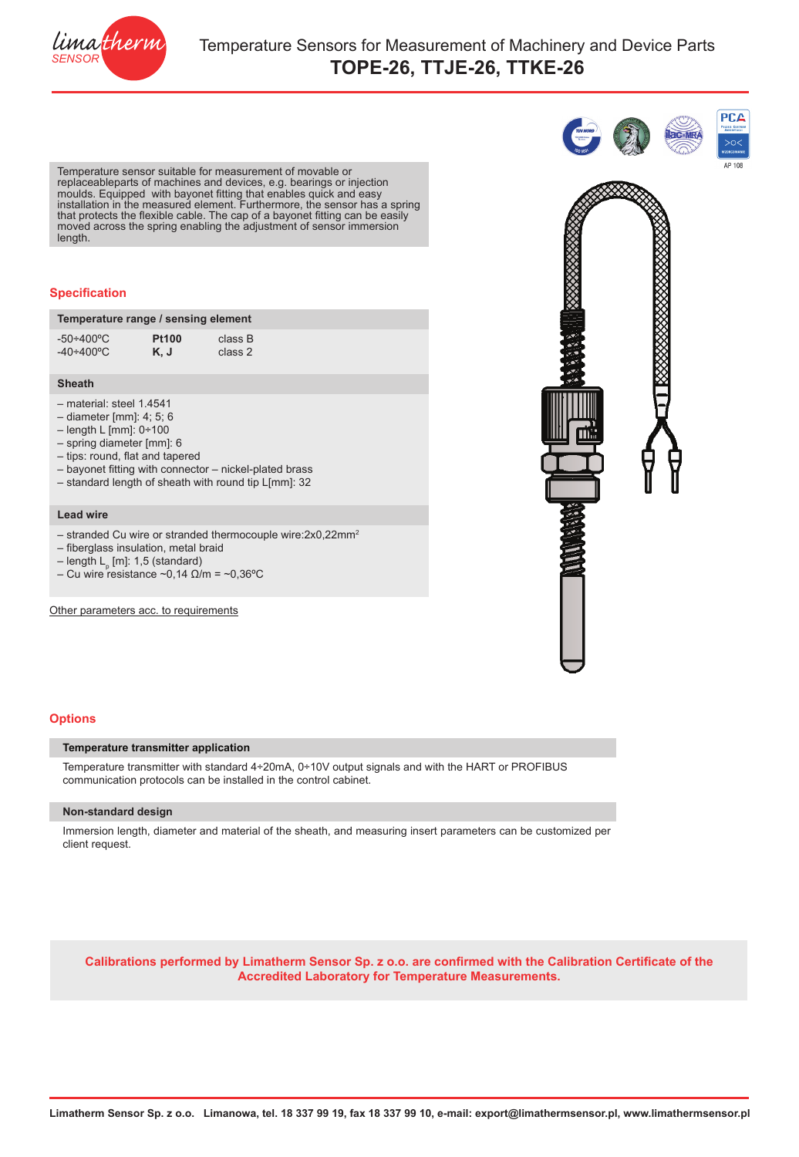

Temperature sensor suitable for measurement of movable or replaceableparts of machines and devices, e.g. bearings or injection moulds. Equipped with bayonet fitting that enables quick and easy installation in the measured element. Furthermore, the sensor has a spring that protects the flexible cable. The cap of a bayonet fitting can be easily moved across the spring enabling the adjustment of sensor immersion length.

## **Specification**

| Temperature range / sensing element |              |         |  |
|-------------------------------------|--------------|---------|--|
| $-50 \div 400^{\circ}$ C            | <b>Pt100</b> | class B |  |
| $-40 \div 400$ °C                   | K, J         | class 2 |  |

## **Sheath**

- material: steel 1.4541
- diameter [mm]: 4; 5; 6
- length L [mm]: 0÷100
- spring diameter [mm]: 6
- tips: round, flat and tapered
- bayonet fitting with connector nickel-plated brass
- standard length of sheath with round tip L[mm]: 32

### **Lead wire**

- stranded Cu wire or stranded thermocouple wire:2x0,22mm2
- fiberglass insulation, metal braid
- length L<sub>p</sub> [m]: 1,5 (standard)
- Cu wire resistance ~0,14  $\Omega/m = -0,36^{\circ}C$

Other parameters acc. to requirements



**PCA** 

# **Options**

## **Temperature transmitter application**

Temperature transmitter with standard 4÷20mA, 0÷10V output signals and with the HART or PROFIBUS communication protocols can be installed in the control cabinet.

## **Non-standard design**

Immersion length, diameter and material of the sheath, and measuring insert parameters can be customized per client request.

**[Calibrations performed by Limatherm Sensor Sp. z o.o. are confirmed with the Calibration Certificate of the](http://www.akplima.pl/pl/index.php?option=com_content&view=article&id=19&Itemid=13)  [Accredited Laboratory for Temperature Measurements.](http://www.akplima.pl/pl/index.php?option=com_content&view=article&id=19&Itemid=13)**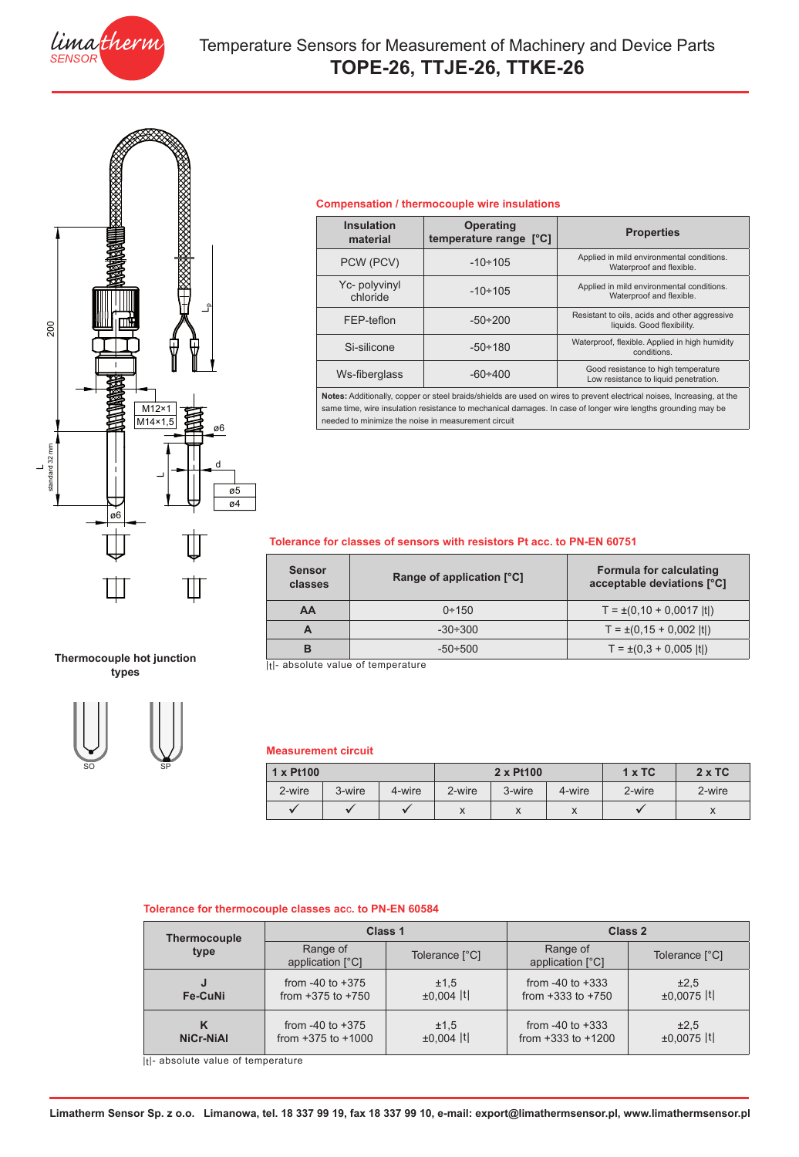



**Thermocouple hot junction types**

SO SP

## **Compensation / thermocouple wire insulations**

| <b>Insulation</b><br>material | <b>Operating</b><br>temperature range [°C] | <b>Properties</b>                                                            |  |
|-------------------------------|--------------------------------------------|------------------------------------------------------------------------------|--|
| PCW (PCV)                     | $-10 \div 105$                             | Applied in mild environmental conditions.<br>Waterproof and flexible.        |  |
| Yc- polyvinyl<br>chloride     | $-10 \div 105$                             | Applied in mild environmental conditions.<br>Waterproof and flexible.        |  |
| FEP-teflon                    | $-50 \div 200$                             | Resistant to oils, acids and other aggressive<br>liquids. Good flexibility.  |  |
| Si-silicone                   | $-50 \div 180$                             | Waterproof, flexible. Applied in high humidity<br>conditions.                |  |
| Ws-fiberglass                 | $-60 \div 400$                             | Good resistance to high temperature<br>Low resistance to liquid penetration. |  |
|                               |                                            |                                                                              |  |

**Notes:** Additionally, copper or steel braids/shields are used on wires to prevent electrical noises, Increasing, at the same time, wire insulation resistance to mechanical damages. In case of longer wire lengths grounding may be needed to minimize the noise in measurement circuit

## **Tolerance for classes of sensors with resistors Pt acc. to PN-EN 60751**

| <b>Sensor</b><br>classes | Range of application [°C] | <b>Formula for calculating</b><br>acceptable deviations [°C] |  |
|--------------------------|---------------------------|--------------------------------------------------------------|--|
| AA                       | $0 + 150$                 | $T = \pm (0.10 + 0.0017$  t )                                |  |
| A                        | $-30 \div 300$            | $T = \pm (0.15 + 0.002$  t )                                 |  |
| в                        | $-50 \div 500$            | $T = \pm (0.3 + 0.005$  t )                                  |  |

|t|- absolute value of temperature

# **Measurement circuit**

| $1 \times$ Pt100 |        |        | 2 x Pt100 |           |           | $1 \times TC$ | $2 \times TC$ |
|------------------|--------|--------|-----------|-----------|-----------|---------------|---------------|
| 2-wire           | 3-wire | 4-wire | 2-wire    | 3-wire    | 4-wire    | 2-wire        | 2-wire        |
|                  |        |        | ⋏         | $\lambda$ | $\lambda$ |               | $\lambda$     |

## **Tolerance for thermocouple classes ac**c**. to PN-EN 60584**

| <b>Thermocouple</b><br>type | Class 1                      |                | Class 2                      |                |  |
|-----------------------------|------------------------------|----------------|------------------------------|----------------|--|
|                             | Range of<br>application [°C] | Tolerance [°C] | Range of<br>application [°C] | Tolerance [°C] |  |
| J                           | from $-40$ to $+375$         | ±1,5           | from $-40$ to $+333$         | ±2,5           |  |
| Fe-CuNi                     | from $+375$ to $+750$        | $±0.004$  t    | from $+333$ to $+750$        | $±0.0075$  t   |  |
| κ                           | from $-40$ to $+375$         | ±1,5           | from $-40$ to $+333$         | ±2,5           |  |
| NiCr-NiAl                   | from $+375$ to $+1000$       | $±0.004$  t    | from $+333$ to $+1200$       | $±0.0075$  t   |  |

|t|- absolute value of temperature

**Limatherm Sensor Sp. z o.o. Limanowa, tel. 18 337 99 19, fax 18 337 99 10, e-mail: export@limathermsensor.pl, www.limathermsensor.pl**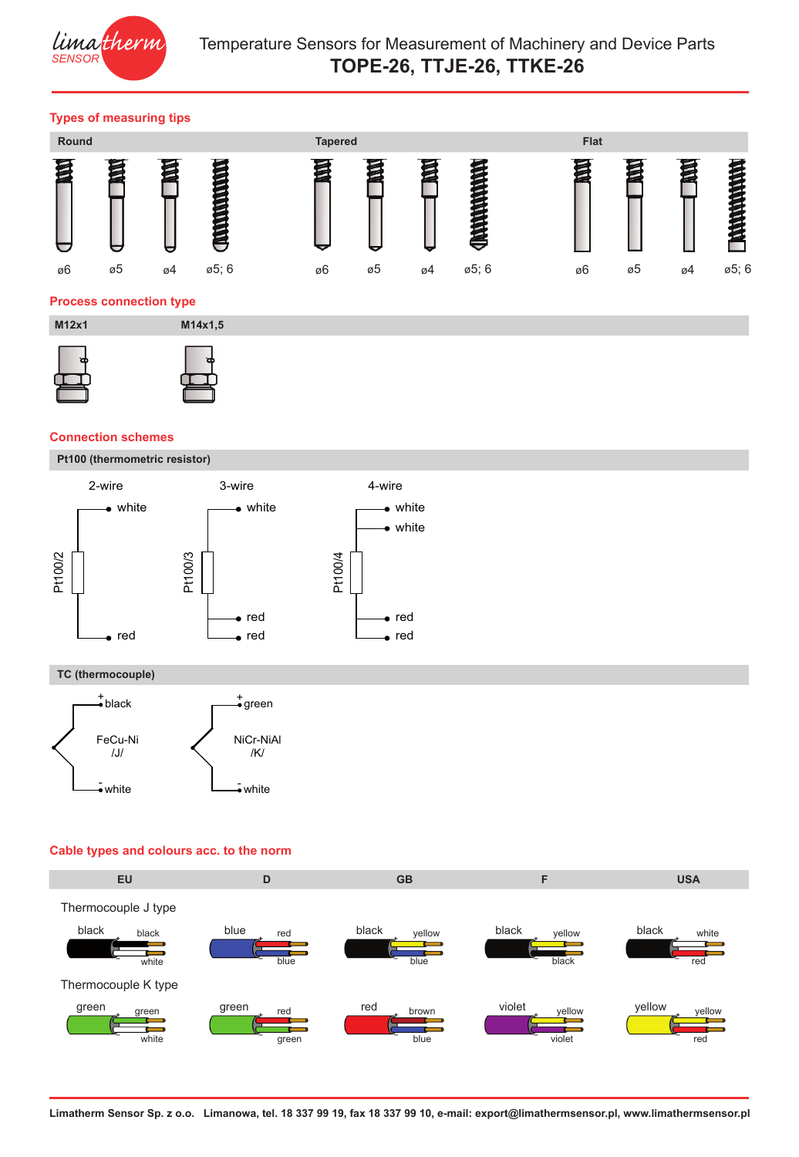

# Temperature Sensors for Measurement of Machinery and Device Parts **TOPE-26, TTJE-26, TTKE-26**

# **Types of measuring tips**



# **Connection schemes**

**Pt100 (thermometric resistor)**



# **TC (thermocouple)**



# **Cable types and colours acc. to the norm**